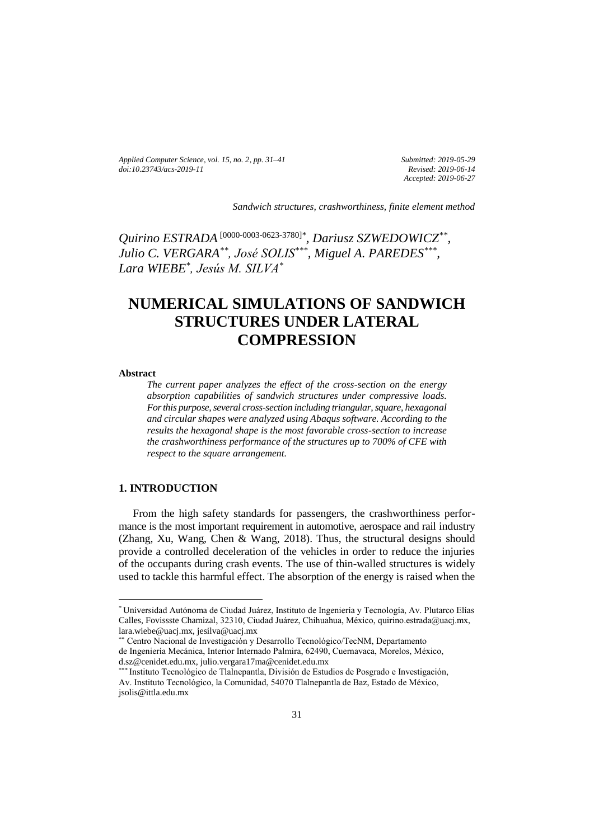*Applied Computer Science, vol. 15, no. 2, pp. 31–41 [doi:10.23743/acs-2019-11](http://acs.pollub.pl/pdf/v15n2/3.pdf)*

*Submitted: 2019-05-29 Revised: 2019-06-14 Accepted: 2019-06-27*

*Sandwich structures, crashworthiness, finite element method*

*Quirino ESTRADA* [\[0000-0003-0623-3780\]](https://orcid.org/0000-0003-0623-3780)*\* , Dariusz SZWEDOWICZ\*\* , Julio C. VERGARA\*\*, José SOLIS\*\*\*, Miguel A. PAREDES\*\*\* , Lara WIEBE\* , Jesús M. SILVA\**

# **NUMERICAL SIMULATIONS OF SANDWICH STRUCTURES UNDER LATERAL COMPRESSION**

### **Abstract (font size: 10, bold)**

 $\overline{a}$ 

*The current paper analyzes the effect of the cross-section on the energy absorption capabilities of sandwich structures under compressive loads. For this purpose, several cross-section including triangular, square, hexagonal and circular shapes were analyzed using Abaqus software. According to the results the hexagonal shape is the most favorable cross-section to increase the crashworthiness performance of the structures up to 700% of CFE with respect to the square arrangement.*

## **1. INTRODUCTION**

From the high safety standards for passengers, the crashworthiness performance is the most important requirement in automotive, aerospace and rail industry (Zhang, Xu, Wang, Chen & Wang, 2018). Thus, the structural designs should provide a controlled deceleration of the vehicles in order to reduce the injuries of the occupants during crash events. The use of thin-walled structures is widely used to tackle this harmful effect. The absorption of the energy is raised when the

<sup>\*</sup> Universidad Autónoma de Ciudad Juárez, Instituto de Ingeniería y Tecnología, Av. Plutarco Elías Calles, Fovissste Chamizal, 32310, Ciudad Juárez, Chihuahua, México, quirino.estrada@uacj.mx, lara.wiebe@uacj.mx, jesilva@uacj.mx

<sup>\*\*</sup> Centro Nacional de Investigación y Desarrollo Tecnológico/TecNM, Departamento de Ingeniería Mecánica, Interior Internado Palmira, 62490, Cuernavaca, Morelos, México, d.sz@cenidet.edu.mx, julio.vergara17ma@cenidet.edu.mx

<sup>\*\*\*</sup> Instituto Tecnológico de Tlalnepantla, División de Estudios de Posgrado e Investigación, Av. Instituto Tecnológico, la Comunidad, 54070 Tlalnepantla de Baz, Estado de México, jsolis@ittla.edu.mx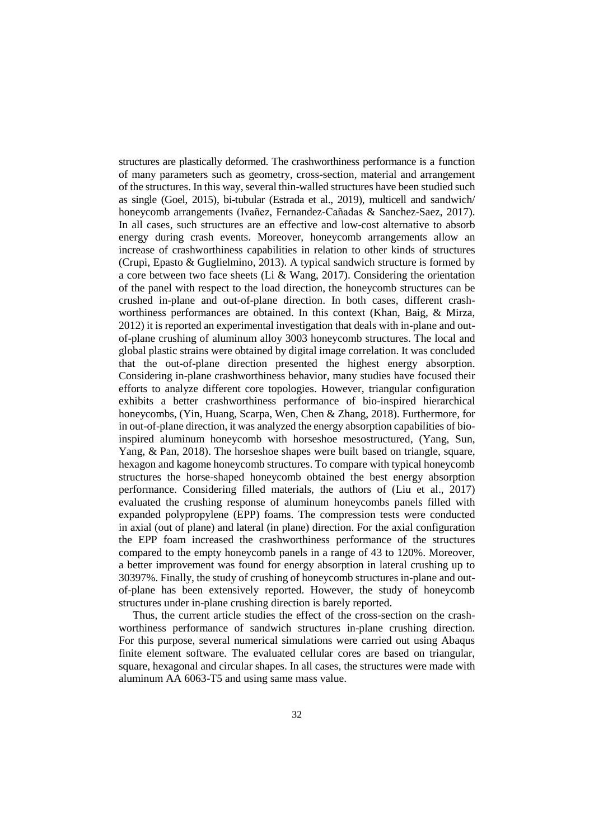structures are plastically deformed. The crashworthiness performance is a function of many parameters such as geometry, cross-section, material and arrangement of the structures. In this way, several thin-walled structures have been studied such as single (Goel, 2015), bi-tubular (Estrada et al., 2019), multicell and sandwich/ honeycomb arrangements (Ivañez, Fernandez-Cañadas & Sanchez-Saez, 2017). In all cases, such structures are an effective and low-cost alternative to absorb energy during crash events. Moreover, honeycomb arrangements allow an increase of crashworthiness capabilities in relation to other kinds of structures (Crupi, Epasto & Guglielmino, 2013). A typical sandwich structure is formed by a core between two face sheets (Li & Wang, 2017). Considering the orientation of the panel with respect to the load direction, the honeycomb structures can be crushed in-plane and out-of-plane direction. In both cases, different crashworthiness performances are obtained. In this context (Khan, Baig, & Mirza, 2012) it is reported an experimental investigation that deals with in-plane and outof-plane crushing of aluminum alloy 3003 honeycomb structures. The local and global plastic strains were obtained by digital image correlation. It was concluded that the out-of-plane direction presented the highest energy absorption. Considering in-plane crashworthiness behavior, many studies have focused their efforts to analyze different core topologies. However, triangular configuration exhibits a better crashworthiness performance of bio-inspired hierarchical honeycombs, (Yin, Huang, Scarpa, Wen, Chen & Zhang, 2018). Furthermore, for in out-of-plane direction, it was analyzed the energy absorption capabilities of bioinspired aluminum honeycomb with horseshoe mesostructured, (Yang, Sun, Yang, & Pan, 2018). The horseshoe shapes were built based on triangle, square, hexagon and kagome honeycomb structures. To compare with typical honeycomb structures the horse-shaped honeycomb obtained the best energy absorption performance. Considering filled materials, the authors of (Liu et al., 2017) evaluated the crushing response of aluminum honeycombs panels filled with expanded polypropylene (EPP) foams. The compression tests were conducted in axial (out of plane) and lateral (in plane) direction. For the axial configuration the EPP foam increased the crashworthiness performance of the structures compared to the empty honeycomb panels in a range of 43 to 120%. Moreover, a better improvement was found for energy absorption in lateral crushing up to 30397%. Finally, the study of crushing of honeycomb structures in-plane and outof-plane has been extensively reported. However, the study of honeycomb structures under in-plane crushing direction is barely reported.

Thus, the current article studies the effect of the cross-section on the crashworthiness performance of sandwich structures in-plane crushing direction. For this purpose, several numerical simulations were carried out using Abaqus finite element software. The evaluated cellular cores are based on triangular, square, hexagonal and circular shapes. In all cases, the structures were made with aluminum AA 6063-T5 and using same mass value.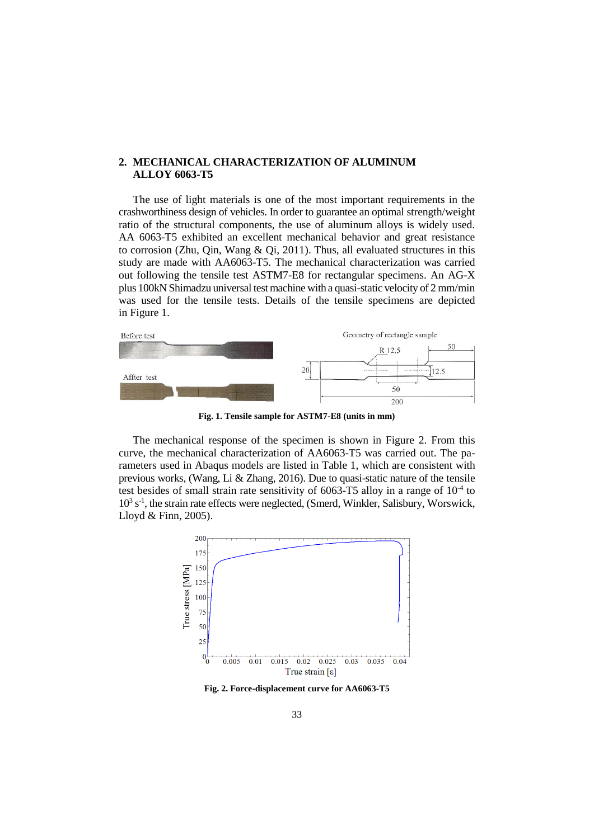## **2. MECHANICAL CHARACTERIZATION OF ALUMINUM ALLOY 6063-T5**

The use of light materials is one of the most important requirements in the crashworthiness design of vehicles. In order to guarantee an optimal strength/weight ratio of the structural components, the use of aluminum alloys is widely used. AA 6063-T5 exhibited an excellent mechanical behavior and great resistance to corrosion (Zhu, Qin, Wang & Qi, 2011). Thus, all evaluated structures in this study are made with AA6063-T5. The mechanical characterization was carried out following the tensile test ASTM7-E8 for rectangular specimens. An AG-X plus 100kN Shimadzu universal test machine with a quasi-static velocity of 2 mm/min was used for the tensile tests. Details of the tensile specimens are depicted in Figure 1.



**Fig. 1. Tensile sample for ASTM7-E8 (units in mm)**

The mechanical response of the specimen is shown in Figure 2. From this curve, the mechanical characterization of AA6063-T5 was carried out. The parameters used in Abaqus models are listed in Table 1, which are consistent with previous works, (Wang, Li & Zhang, 2016). Due to quasi-static nature of the tensile test besides of small strain rate sensitivity of  $6063$ -T5 alloy in a range of  $10^{-4}$  to 10<sup>3</sup> s<sup>-1</sup>, the strain rate effects were neglected, (Smerd, Winkler, Salisbury, Worswick, Lloyd & Finn, 2005).



**Fig. 2. Force-displacement curve for AA6063-T5**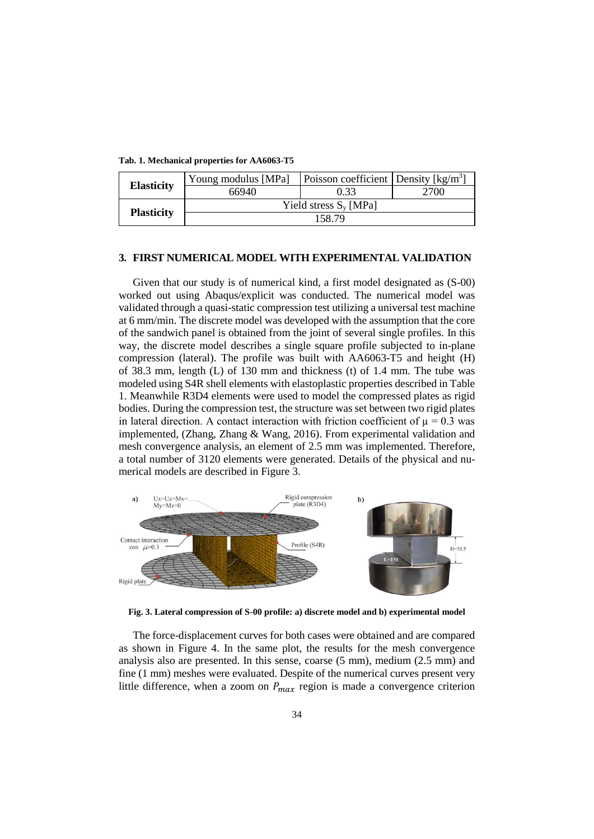Tab. 1. Mechanical properties for AA6063-T5

| <b>Elasticity</b> | Young modulus [MPa]      | Poisson coefficient Density [ $kg/m3$ ] |      |  |
|-------------------|--------------------------|-----------------------------------------|------|--|
|                   | 66940                    | 0.33                                    | 2700 |  |
| <b>Plasticity</b> | Yield stress $S_v$ [MPa] |                                         |      |  |
|                   | 158.79                   |                                         |      |  |

#### **3. FIRST NUMERICAL MODEL WITH EXPERIMENTAL VALIDATION**

Given that our study is of numerical kind, a first model designated as (S-00) worked out using Abaqus/explicit was conducted. The numerical model was validated through a quasi-static compression test utilizing a universal test machine at 6 mm/min. The discrete model was developed with the assumption that the core of the sandwich panel is obtained from the joint of several single profiles. In this way, the discrete model describes a single square profile subjected to in-plane compression (lateral). The profile was built with AA6063-T5 and height (H) of 38.3 mm, length (L) of 130 mm and thickness (t) of 1.4 mm. The tube was modeled using S4R shell elements with elastoplastic properties described in Table 1. Meanwhile R3D4 elements were used to model the compressed plates as rigid bodies. During the compression test, the structure was set between two rigid plates in lateral direction. A contact interaction with friction coefficient of  $\mu = 0.3$  was implemented, (Zhang, Zhang & Wang, 2016). From experimental validation and mesh convergence analysis, an element of 2.5 mm was implemented. Therefore, a total number of 3120 elements were generated. Details of the physical and numerical models are described in Figure 3.



**Fig. 3. Lateral compression of S-00 profile: a) discrete model and b) experimental model**

The force-displacement curves for both cases were obtained and are compared as shown in Figure 4. In the same plot, the results for the mesh convergence analysis also are presented. In this sense, coarse (5 mm), medium (2.5 mm) and fine (1 mm) meshes were evaluated. Despite of the numerical curves present very little difference, when a zoom on  $P_{max}$  region is made a convergence criterion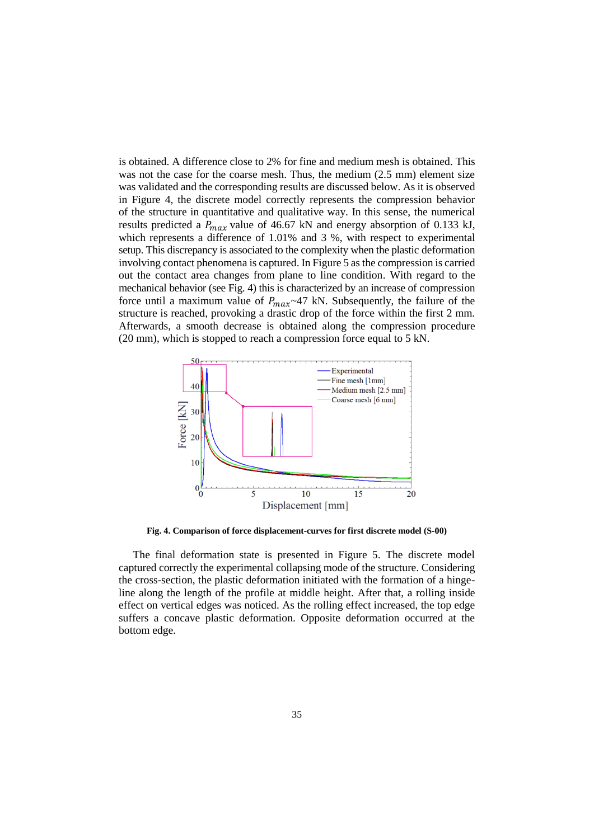is obtained. A difference close to 2% for fine and medium mesh is obtained. This was not the case for the coarse mesh. Thus, the medium (2.5 mm) element size was validated and the corresponding results are discussed below. As it is observed in Figure 4, the discrete model correctly represents the compression behavior of the structure in quantitative and qualitative way. In this sense, the numerical results predicted a  $P_{max}$  value of 46.67 kN and energy absorption of 0.133 kJ, which represents a difference of 1.01% and 3 %, with respect to experimental setup. This discrepancy is associated to the complexity when the plastic deformation involving contact phenomena is captured. In Figure 5 as the compression is carried out the contact area changes from plane to line condition. With regard to the mechanical behavior (see Fig. 4) this is characterized by an increase of compression force until a maximum value of  $P_{max}$  ~47 kN. Subsequently, the failure of the structure is reached, provoking a drastic drop of the force within the first 2 mm. Afterwards, a smooth decrease is obtained along the compression procedure (20 mm), which is stopped to reach a compression force equal to 5 kN.



**Fig. 4. Comparison of force displacement-curves for first discrete model (S-00)**

The final deformation state is presented in Figure 5. The discrete model captured correctly the experimental collapsing mode of the structure. Considering the cross-section, the plastic deformation initiated with the formation of a hingeline along the length of the profile at middle height. After that, a rolling inside effect on vertical edges was noticed. As the rolling effect increased, the top edge suffers a concave plastic deformation. Opposite deformation occurred at the bottom edge.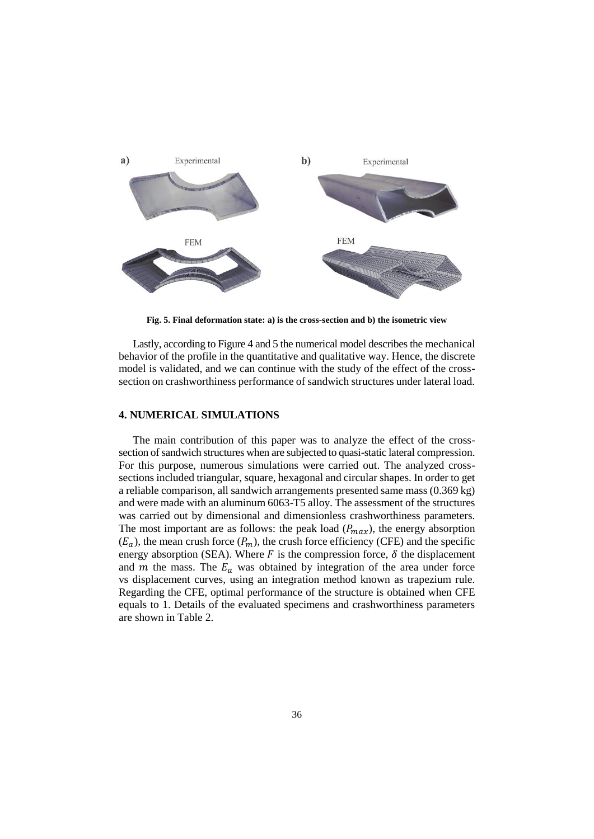

**Fig. 5. Final deformation state: a) is the cross-section and b) the isometric view**

Lastly, according to Figure 4 and 5 the numerical model describes the mechanical behavior of the profile in the quantitative and qualitative way. Hence, the discrete model is validated, and we can continue with the study of the effect of the crosssection on crashworthiness performance of sandwich structures under lateral load.

## **4. NUMERICAL SIMULATIONS**

The main contribution of this paper was to analyze the effect of the crosssection of sandwich structures when are subjected to quasi-static lateral compression. For this purpose, numerous simulations were carried out. The analyzed crosssections included triangular, square, hexagonal and circular shapes. In order to get a reliable comparison, all sandwich arrangements presented same mass (0.369 kg) and were made with an aluminum 6063-T5 alloy. The assessment of the structures was carried out by dimensional and dimensionless crashworthiness parameters. The most important are as follows: the peak load  $(P_{max})$ , the energy absorption  $(E_a)$ , the mean crush force  $(P_m)$ , the crush force efficiency (CFE) and the specific energy absorption (SEA). Where  $F$  is the compression force,  $\delta$  the displacement and  $m$  the mass. The  $E_a$  was obtained by integration of the area under force vs displacement curves, using an integration method known as trapezium rule. Regarding the CFE, optimal performance of the structure is obtained when CFE equals to 1. Details of the evaluated specimens and crashworthiness parameters are shown in Table 2.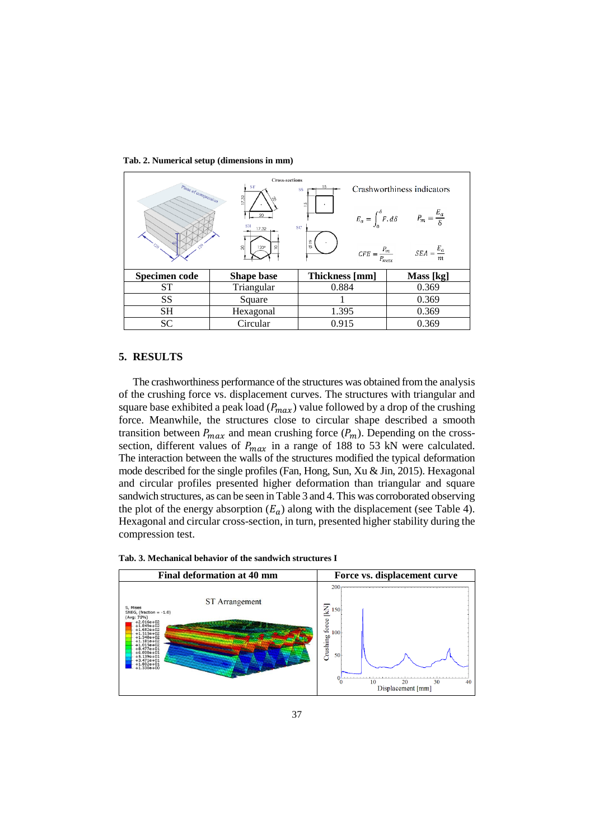**Tab. 2. Numerical setup (dimensions in mm)**

| Plane of compression<br>$\mathcal{L}_{2o}$ | <b>Cross-sections</b><br>ST.<br>17.32<br>20<br><b>SH</b><br>17.32<br>$\approx$<br>120° | 15<br>SS<br>$\overline{5}$<br>SC<br>φ19<br>$\mathit{CFE} = \frac{P_m}{P_{max}}$ | Crashworthiness indicators<br>$E_a = \int_a^{\delta} F \cdot d\delta$ $P_m = \frac{E_a}{\delta}$<br>$SEA = \frac{E_a}{m}$ |
|--------------------------------------------|----------------------------------------------------------------------------------------|---------------------------------------------------------------------------------|---------------------------------------------------------------------------------------------------------------------------|
| Specimen code                              | <b>Shape base</b>                                                                      | <b>Thickness</b> [mm]                                                           | Mass [kg]                                                                                                                 |
| <b>ST</b>                                  | Triangular                                                                             | 0.884                                                                           | 0.369                                                                                                                     |
| SS                                         | Square                                                                                 |                                                                                 | 0.369                                                                                                                     |
| <b>SH</b>                                  | Hexagonal                                                                              | 1.395                                                                           | 0.369                                                                                                                     |
| <b>SC</b>                                  | Circular                                                                               | 0.915                                                                           | 0.369                                                                                                                     |

# **5. RESULTS**

The crashworthiness performance of the structures was obtained from the analysis of the crushing force vs. displacement curves. The structures with triangular and square base exhibited a peak load ( $P_{max}$ ) value followed by a drop of the crushing force. Meanwhile, the structures close to circular shape described a smooth transition between  $P_{max}$  and mean crushing force  $(P_m)$ . Depending on the crosssection, different values of  $P_{max}$  in a range of 188 to 53 kN were calculated. The interaction between the walls of the structures modified the typical deformation mode described for the single profiles (Fan, Hong, Sun, Xu & Jin, 2015). Hexagonal and circular profiles presented higher deformation than triangular and square sandwich structures, as can be seen in Table 3 and 4. This was corroborated observing the plot of the energy absorption  $(E_a)$  along with the displacement (see Table 4). Hexagonal and circular cross-section, in turn, presented higher stability during the compression test.



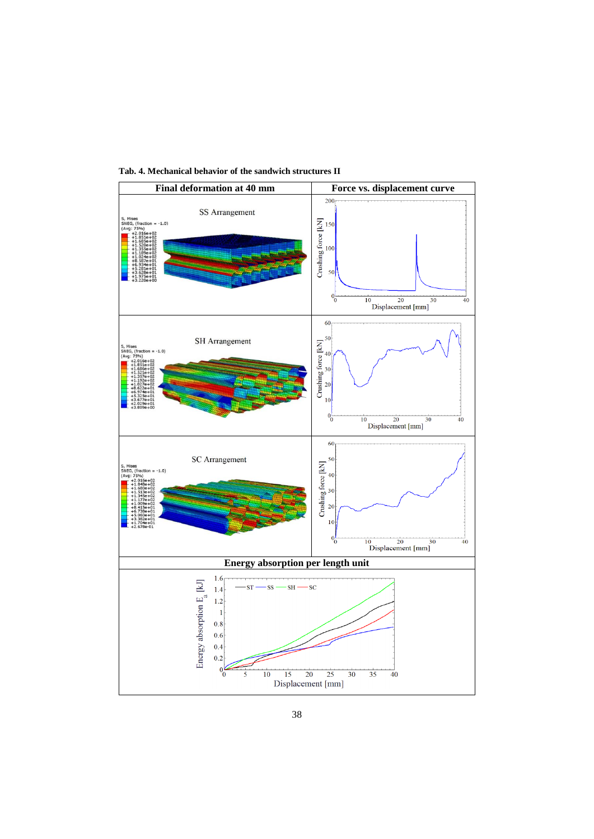

**Tab. 4. Mechanical behavior of the sandwich structures II**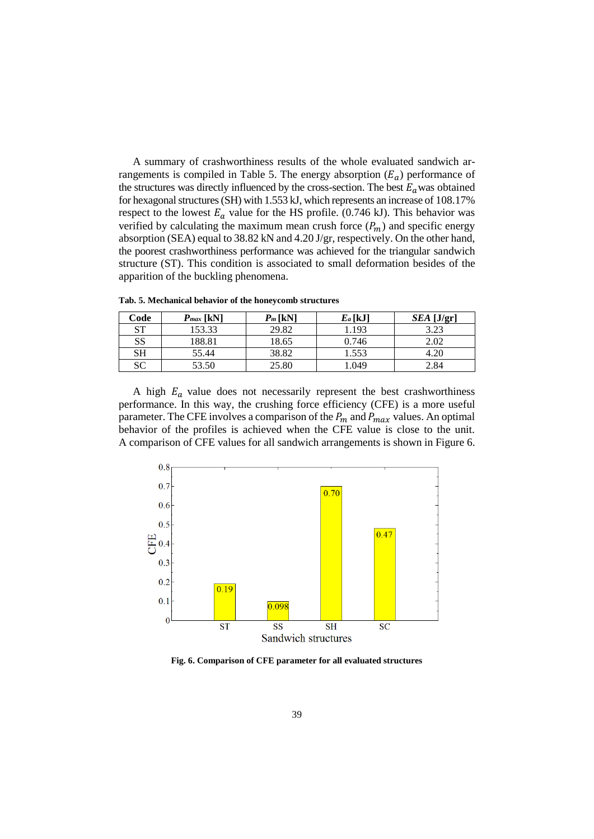A summary of crashworthiness results of the whole evaluated sandwich arrangements is compiled in Table 5. The energy absorption  $(E_a)$  performance of the structures was directly influenced by the cross-section. The best  $E_a$  was obtained for hexagonal structures (SH) with 1.553 kJ, which represents an increase of 108.17% respect to the lowest  $E_a$  value for the HS profile. (0.746 kJ). This behavior was verified by calculating the maximum mean crush force  $(P_m)$  and specific energy absorption (SEA) equal to 38.82 kN and 4.20 J/gr, respectively. On the other hand, the poorest crashworthiness performance was achieved for the triangular sandwich structure (ST). This condition is associated to small deformation besides of the apparition of the buckling phenomena.

| Code      | $P_{max}$ [kN] | $P_m$ [kN] | $E_a$ [kJ] | $SEA$ [J/gr] |
|-----------|----------------|------------|------------|--------------|
| ST        | 153.33         | 29.82      | 1.193      | 3.23         |
| SS        | 188.81         | 18.65      | 0.746      | 2.02         |
| <b>SH</b> | 55.44          | 38.82      | 1.553      | 4.20         |
| <b>SC</b> | 53.50          | 25.80      | 1.049      | 2.84         |

**Tab. 5. Mechanical behavior of the honeycomb structures**

A high  $E_a$  value does not necessarily represent the best crashworthiness performance. In this way, the crushing force efficiency (CFE) is a more useful parameter. The CFE involves a comparison of the  $P_m$  and  $P_{max}$  values. An optimal behavior of the profiles is achieved when the CFE value is close to the unit. A comparison of CFE values for all sandwich arrangements is shown in Figure 6.



**Fig. 6. Comparison of CFE parameter for all evaluated structures**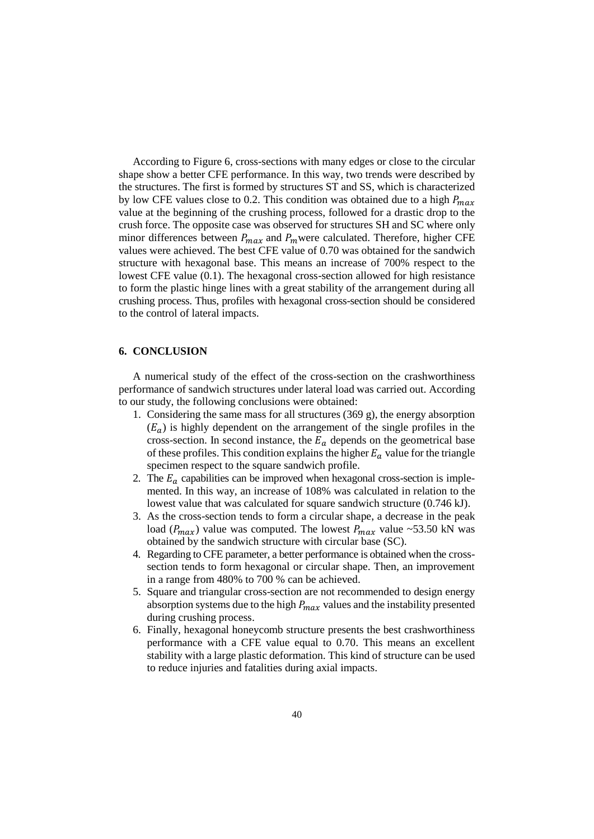According to Figure 6, cross-sections with many edges or close to the circular shape show a better CFE performance. In this way, two trends were described by the structures. The first is formed by structures ST and SS, which is characterized by low CFE values close to 0.2. This condition was obtained due to a high  $P_{max}$ value at the beginning of the crushing process, followed for a drastic drop to the crush force. The opposite case was observed for structures SH and SC where only minor differences between  $P_{max}$  and  $P_m$  were calculated. Therefore, higher CFE values were achieved. The best CFE value of 0.70 was obtained for the sandwich structure with hexagonal base. This means an increase of 700% respect to the lowest CFE value (0.1). The hexagonal cross-section allowed for high resistance to form the plastic hinge lines with a great stability of the arrangement during all crushing process. Thus, profiles with hexagonal cross-section should be considered to the control of lateral impacts.

#### **6. CONCLUSION**

A numerical study of the effect of the cross-section on the crashworthiness performance of sandwich structures under lateral load was carried out. According to our study, the following conclusions were obtained:

- 1. Considering the same mass for all structures (369 g), the energy absorption  $(E_a)$  is highly dependent on the arrangement of the single profiles in the cross-section. In second instance, the  $E_a$  depends on the geometrical base of these profiles. This condition explains the higher  $E_a$  value for the triangle specimen respect to the square sandwich profile.
- 2. The  $E_a$  capabilities can be improved when hexagonal cross-section is implemented. In this way, an increase of 108% was calculated in relation to the lowest value that was calculated for square sandwich structure (0.746 kJ).
- 3. As the cross-section tends to form a circular shape, a decrease in the peak load ( $P_{max}$ ) value was computed. The lowest  $P_{max}$  value ~53.50 kN was obtained by the sandwich structure with circular base (SC).
- 4. Regarding to CFE parameter, a better performance is obtained when the crosssection tends to form hexagonal or circular shape. Then, an improvement in a range from 480% to 700 % can be achieved.
- 5. Square and triangular cross-section are not recommended to design energy absorption systems due to the high  $P_{max}$  values and the instability presented during crushing process.
- 6. Finally, hexagonal honeycomb structure presents the best crashworthiness performance with a CFE value equal to 0.70. This means an excellent stability with a large plastic deformation. This kind of structure can be used to reduce injuries and fatalities during axial impacts.